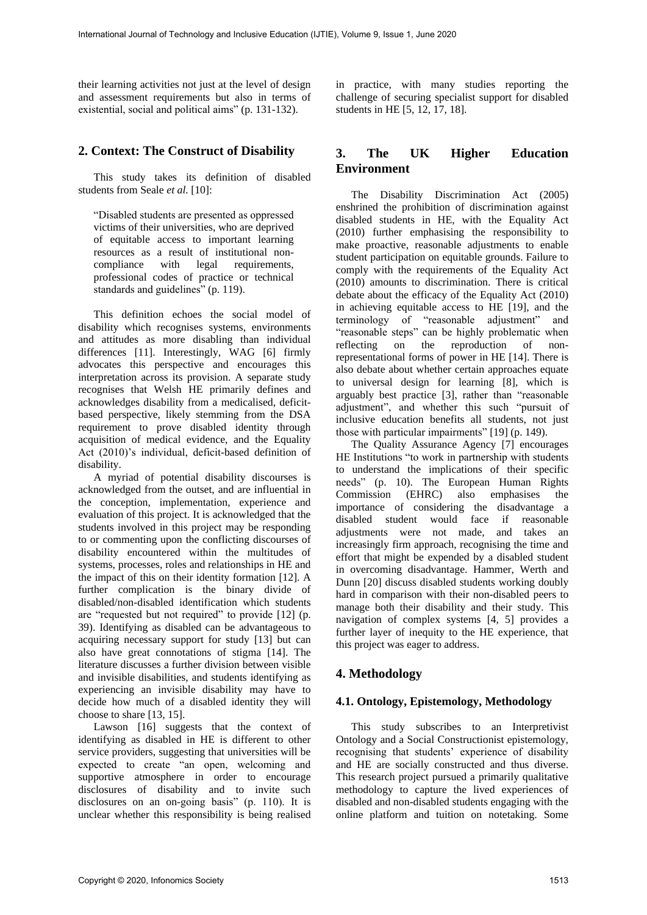their learning activities not just at the level of design and assessment requirements but also in terms of existential, social and political aims" (p. 131-132).

# **2. Context: The Construct of Disability**

This study takes its definition of disabled students from Seale *et al.* [10]:

"Disabled students are presented as oppressed victims of their universities, who are deprived of equitable access to important learning resources as a result of institutional noncompliance with legal requirements, professional codes of practice or technical standards and guidelines" (p. 119).

This definition echoes the social model of disability which recognises systems, environments and attitudes as more disabling than individual differences [11]. Interestingly, WAG [6] firmly advocates this perspective and encourages this interpretation across its provision. A separate study recognises that Welsh HE primarily defines and acknowledges disability from a medicalised, deficitbased perspective, likely stemming from the DSA requirement to prove disabled identity through acquisition of medical evidence, and the Equality Act (2010)'s individual, deficit-based definition of disability.

A myriad of potential disability discourses is acknowledged from the outset, and are influential in the conception, implementation, experience and evaluation of this project. It is acknowledged that the students involved in this project may be responding to or commenting upon the conflicting discourses of disability encountered within the multitudes of systems, processes, roles and relationships in HE and the impact of this on their identity formation [12]. A further complication is the binary divide of disabled/non-disabled identification which students are "requested but not required" to provide [12] (p. 39). Identifying as disabled can be advantageous to acquiring necessary support for study [13] but can also have great connotations of stigma [14]. The literature discusses a further division between visible and invisible disabilities, and students identifying as experiencing an invisible disability may have to decide how much of a disabled identity they will choose to share [13, 15].

Lawson [16] suggests that the context of identifying as disabled in HE is different to other service providers, suggesting that universities will be expected to create "an open, welcoming and supportive atmosphere in order to encourage disclosures of disability and to invite such disclosures on an on-going basis" (p. 110). It is unclear whether this responsibility is being realised in practice, with many studies reporting the challenge of securing specialist support for disabled students in HE [5, 12, 17, 18].

# **3. The UK Higher Education Environment**

The Disability Discrimination Act (2005) enshrined the prohibition of discrimination against disabled students in HE, with the Equality Act (2010) further emphasising the responsibility to make proactive, reasonable adjustments to enable student participation on equitable grounds. Failure to comply with the requirements of the Equality Act (2010) amounts to discrimination. There is critical debate about the efficacy of the Equality Act (2010) in achieving equitable access to HE [19], and the terminology of "reasonable adjustment" and "reasonable steps" can be highly problematic when reflecting on the reproduction of nonrepresentational forms of power in HE [14]. There is also debate about whether certain approaches equate to universal design for learning [8], which is arguably best practice [3], rather than "reasonable adjustment", and whether this such "pursuit of inclusive education benefits all students, not just those with particular impairments" [19] (p. 149).

The Quality Assurance Agency [7] encourages HE Institutions "to work in partnership with students to understand the implications of their specific needs" (p. 10). The European Human Rights Commission (EHRC) also emphasises the importance of considering the disadvantage a disabled student would face if reasonable adjustments were not made, and takes an increasingly firm approach, recognising the time and effort that might be expended by a disabled student in overcoming disadvantage. Hammer, Werth and Dunn [20] discuss disabled students working doubly hard in comparison with their non-disabled peers to manage both their disability and their study. This navigation of complex systems [4, 5] provides a further layer of inequity to the HE experience, that this project was eager to address.

# **4. Methodology**

# **4.1. Ontology, Epistemology, Methodology**

This study subscribes to an Interpretivist Ontology and a Social Constructionist epistemology, recognising that students' experience of disability and HE are socially constructed and thus diverse. This research project pursued a primarily qualitative methodology to capture the lived experiences of disabled and non-disabled students engaging with the online platform and tuition on notetaking. Some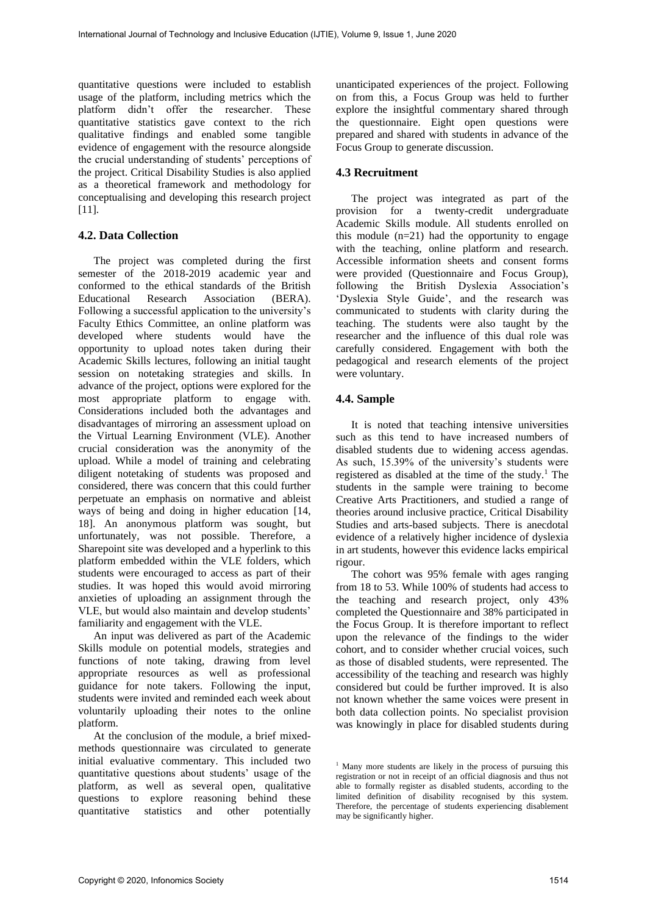quantitative questions were included to establish usage of the platform, including metrics which the platform didn't offer the researcher. These quantitative statistics gave context to the rich qualitative findings and enabled some tangible evidence of engagement with the resource alongside the crucial understanding of students' perceptions of the project. Critical Disability Studies is also applied as a theoretical framework and methodology for conceptualising and developing this research project [11].

## **4.2. Data Collection**

The project was completed during the first semester of the 2018-2019 academic year and conformed to the ethical standards of the British Educational Research Association (BERA). Following a successful application to the university's Faculty Ethics Committee, an online platform was developed where students would have the opportunity to upload notes taken during their Academic Skills lectures, following an initial taught session on notetaking strategies and skills. In advance of the project, options were explored for the most appropriate platform to engage with. Considerations included both the advantages and disadvantages of mirroring an assessment upload on the Virtual Learning Environment (VLE). Another crucial consideration was the anonymity of the upload. While a model of training and celebrating diligent notetaking of students was proposed and considered, there was concern that this could further perpetuate an emphasis on normative and ableist ways of being and doing in higher education [14, 18]. An anonymous platform was sought, but unfortunately, was not possible. Therefore, a Sharepoint site was developed and a hyperlink to this platform embedded within the VLE folders, which students were encouraged to access as part of their studies. It was hoped this would avoid mirroring anxieties of uploading an assignment through the VLE, but would also maintain and develop students' familiarity and engagement with the VLE.

An input was delivered as part of the Academic Skills module on potential models, strategies and functions of note taking, drawing from level appropriate resources as well as professional guidance for note takers. Following the input, students were invited and reminded each week about voluntarily uploading their notes to the online platform.

At the conclusion of the module, a brief mixedmethods questionnaire was circulated to generate initial evaluative commentary. This included two quantitative questions about students' usage of the platform, as well as several open, qualitative questions to explore reasoning behind these quantitative statistics and other potentially

unanticipated experiences of the project. Following on from this, a Focus Group was held to further explore the insightful commentary shared through the questionnaire. Eight open questions were prepared and shared with students in advance of the Focus Group to generate discussion.

# **4.3 Recruitment**

The project was integrated as part of the provision for a twenty-credit undergraduate Academic Skills module. All students enrolled on this module  $(n=21)$  had the opportunity to engage with the teaching, online platform and research. Accessible information sheets and consent forms were provided (Questionnaire and Focus Group), following the British Dyslexia Association's 'Dyslexia Style Guide', and the research was communicated to students with clarity during the teaching. The students were also taught by the researcher and the influence of this dual role was carefully considered. Engagement with both the pedagogical and research elements of the project were voluntary.

## **4.4. Sample**

It is noted that teaching intensive universities such as this tend to have increased numbers of disabled students due to widening access agendas. As such, 15.39% of the university's students were registered as disabled at the time of the study.<sup>1</sup> The students in the sample were training to become Creative Arts Practitioners, and studied a range of theories around inclusive practice, Critical Disability Studies and arts-based subjects. There is anecdotal evidence of a relatively higher incidence of dyslexia in art students, however this evidence lacks empirical rigour.

The cohort was 95% female with ages ranging from 18 to 53. While 100% of students had access to the teaching and research project, only 43% completed the Questionnaire and 38% participated in the Focus Group. It is therefore important to reflect upon the relevance of the findings to the wider cohort, and to consider whether crucial voices, such as those of disabled students, were represented. The accessibility of the teaching and research was highly considered but could be further improved. It is also not known whether the same voices were present in both data collection points. No specialist provision was knowingly in place for disabled students during

<sup>&</sup>lt;sup>1</sup> Many more students are likely in the process of pursuing this registration or not in receipt of an official diagnosis and thus not able to formally register as disabled students, according to the limited definition of disability recognised by this system. Therefore, the percentage of students experiencing disablement may be significantly higher.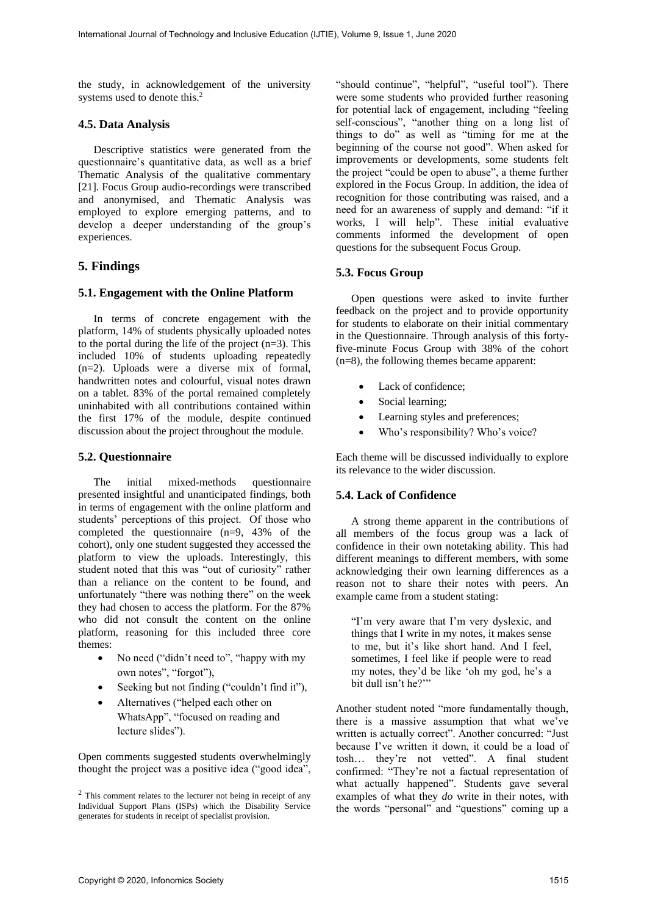the study, in acknowledgement of the university systems used to denote this. 2

#### **4.5. Data Analysis**

Descriptive statistics were generated from the questionnaire's quantitative data, as well as a brief Thematic Analysis of the qualitative commentary [21]. Focus Group audio-recordings were transcribed and anonymised, and Thematic Analysis was employed to explore emerging patterns, and to develop a deeper understanding of the group's experiences.

## **5. Findings**

#### **5.1. Engagement with the Online Platform**

In terms of concrete engagement with the platform, 14% of students physically uploaded notes to the portal during the life of the project  $(n=3)$ . This included 10% of students uploading repeatedly (n=2). Uploads were a diverse mix of formal, handwritten notes and colourful, visual notes drawn on a tablet. 83% of the portal remained completely uninhabited with all contributions contained within the first 17% of the module, despite continued discussion about the project throughout the module.

#### **5.2. Questionnaire**

The initial mixed-methods questionnaire presented insightful and unanticipated findings, both in terms of engagement with the online platform and students' perceptions of this project. Of those who completed the questionnaire (n=9, 43% of the cohort), only one student suggested they accessed the platform to view the uploads. Interestingly, this student noted that this was "out of curiosity" rather than a reliance on the content to be found, and unfortunately "there was nothing there" on the week they had chosen to access the platform. For the 87% who did not consult the content on the online platform, reasoning for this included three core themes:

- No need ("didn't need to", "happy with my own notes", "forgot"),
- Seeking but not finding ("couldn't find it"),
- Alternatives ("helped each other on WhatsApp", "focused on reading and lecture slides").

Open comments suggested students overwhelmingly thought the project was a positive idea ("good idea",

"should continue", "helpful", "useful tool"). There were some students who provided further reasoning for potential lack of engagement, including "feeling self-conscious", "another thing on a long list of things to do" as well as "timing for me at the beginning of the course not good". When asked for improvements or developments, some students felt the project "could be open to abuse", a theme further explored in the Focus Group. In addition, the idea of recognition for those contributing was raised, and a need for an awareness of supply and demand: "if it works, I will help". These initial evaluative comments informed the development of open questions for the subsequent Focus Group.

#### **5.3. Focus Group**

Open questions were asked to invite further feedback on the project and to provide opportunity for students to elaborate on their initial commentary in the Questionnaire. Through analysis of this fortyfive-minute Focus Group with 38% of the cohort (n=8), the following themes became apparent:

- Lack of confidence;
- Social learning;
- Learning styles and preferences;
- Who's responsibility? Who's voice?

Each theme will be discussed individually to explore its relevance to the wider discussion.

## **5.4. Lack of Confidence**

A strong theme apparent in the contributions of all members of the focus group was a lack of confidence in their own notetaking ability. This had different meanings to different members, with some acknowledging their own learning differences as a reason not to share their notes with peers. An example came from a student stating:

"I'm very aware that I'm very dyslexic, and things that I write in my notes, it makes sense to me, but it's like short hand. And I feel, sometimes, I feel like if people were to read my notes, they'd be like 'oh my god, he's a bit dull isn't he?""

Another student noted "more fundamentally though, there is a massive assumption that what we've written is actually correct". Another concurred: "Just because I've written it down, it could be a load of tosh… they're not vetted". A final student confirmed: "They're not a factual representation of what actually happened". Students gave several examples of what they *do* write in their notes, with the words "personal" and "questions" coming up a

<sup>2</sup> This comment relates to the lecturer not being in receipt of any Individual Support Plans (ISPs) which the Disability Service generates for students in receipt of specialist provision.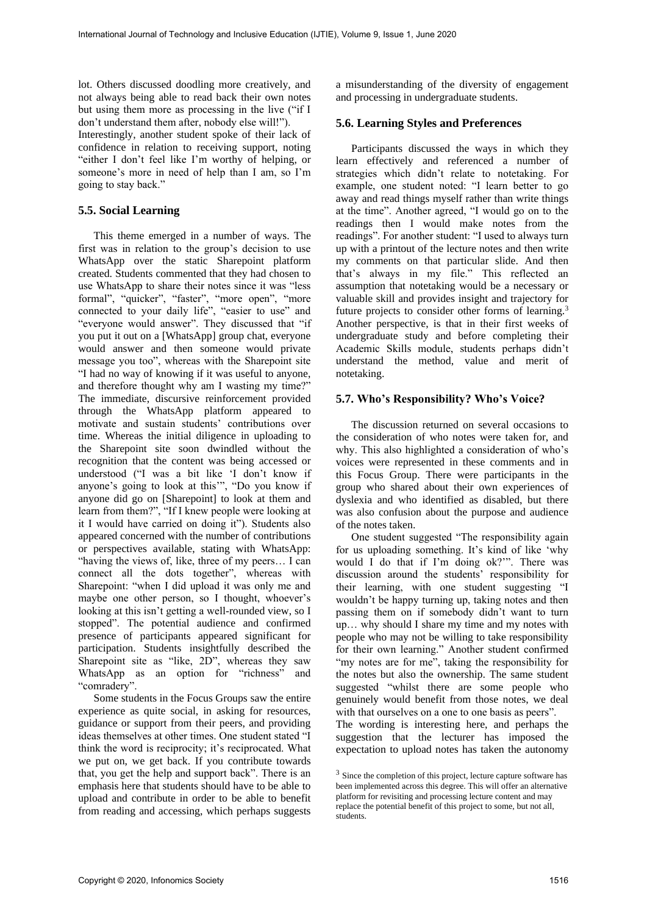lot. Others discussed doodling more creatively, and not always being able to read back their own notes but using them more as processing in the live ("if I don't understand them after, nobody else will!"). Interestingly, another student spoke of their lack of confidence in relation to receiving support, noting "either I don't feel like I'm worthy of helping, or someone's more in need of help than I am, so I'm going to stay back."

#### **5.5. Social Learning**

This theme emerged in a number of ways. The first was in relation to the group's decision to use WhatsApp over the static Sharepoint platform created. Students commented that they had chosen to use WhatsApp to share their notes since it was "less formal", "quicker", "faster", "more open", "more connected to your daily life", "easier to use" and "everyone would answer". They discussed that "if you put it out on a [WhatsApp] group chat, everyone would answer and then someone would private message you too", whereas with the Sharepoint site "I had no way of knowing if it was useful to anyone, and therefore thought why am I wasting my time?" The immediate, discursive reinforcement provided through the WhatsApp platform appeared to motivate and sustain students' contributions over time. Whereas the initial diligence in uploading to the Sharepoint site soon dwindled without the recognition that the content was being accessed or understood ("I was a bit like 'I don't know if anyone's going to look at this'", "Do you know if anyone did go on [Sharepoint] to look at them and learn from them?", "If I knew people were looking at it I would have carried on doing it"). Students also appeared concerned with the number of contributions or perspectives available, stating with WhatsApp: "having the views of, like, three of my peers… I can connect all the dots together", whereas with Sharepoint: "when I did upload it was only me and maybe one other person, so I thought, whoever's looking at this isn't getting a well-rounded view, so I stopped". The potential audience and confirmed presence of participants appeared significant for participation. Students insightfully described the Sharepoint site as "like, 2D", whereas they saw WhatsApp as an option for "richness" and "comradery".

Some students in the Focus Groups saw the entire experience as quite social, in asking for resources, guidance or support from their peers, and providing ideas themselves at other times. One student stated "I think the word is reciprocity; it's reciprocated. What we put on, we get back. If you contribute towards that, you get the help and support back". There is an emphasis here that students should have to be able to upload and contribute in order to be able to benefit from reading and accessing, which perhaps suggests a misunderstanding of the diversity of engagement and processing in undergraduate students.

#### **5.6. Learning Styles and Preferences**

Participants discussed the ways in which they learn effectively and referenced a number of strategies which didn't relate to notetaking. For example, one student noted: "I learn better to go away and read things myself rather than write things at the time". Another agreed, "I would go on to the readings then I would make notes from the readings". For another student: "I used to always turn up with a printout of the lecture notes and then write my comments on that particular slide. And then that's always in my file." This reflected an assumption that notetaking would be a necessary or valuable skill and provides insight and trajectory for future projects to consider other forms of learning.<sup>3</sup> Another perspective, is that in their first weeks of undergraduate study and before completing their Academic Skills module, students perhaps didn't understand the method, value and merit of notetaking.

#### **5.7. Who's Responsibility? Who's Voice?**

The discussion returned on several occasions to the consideration of who notes were taken for, and why. This also highlighted a consideration of who's voices were represented in these comments and in this Focus Group. There were participants in the group who shared about their own experiences of dyslexia and who identified as disabled, but there was also confusion about the purpose and audience of the notes taken.

One student suggested "The responsibility again for us uploading something. It's kind of like 'why would I do that if I'm doing ok?'". There was discussion around the students' responsibility for their learning, with one student suggesting "I wouldn't be happy turning up, taking notes and then passing them on if somebody didn't want to turn up… why should I share my time and my notes with people who may not be willing to take responsibility for their own learning." Another student confirmed "my notes are for me", taking the responsibility for the notes but also the ownership. The same student suggested "whilst there are some people who genuinely would benefit from those notes, we deal with that ourselves on a one to one basis as peers".

The wording is interesting here, and perhaps the suggestion that the lecturer has imposed the expectation to upload notes has taken the autonomy

<sup>&</sup>lt;sup>3</sup> Since the completion of this project, lecture capture software has been implemented across this degree. This will offer an alternative platform for revisiting and processing lecture content and may replace the potential benefit of this project to some, but not all, students.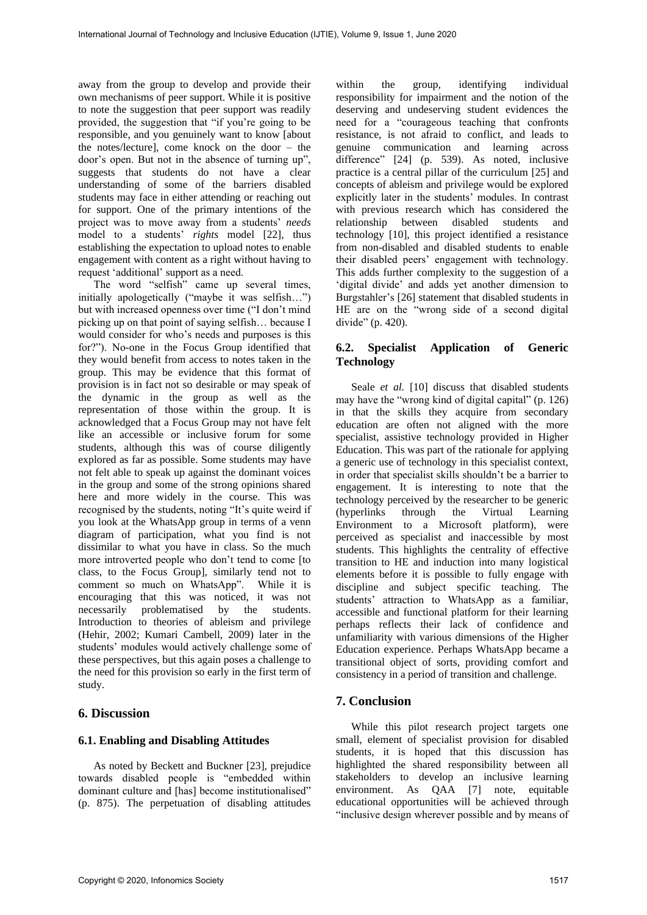away from the group to develop and provide their own mechanisms of peer support. While it is positive to note the suggestion that peer support was readily provided, the suggestion that "if you're going to be responsible, and you genuinely want to know [about the notes/lecture], come knock on the door – the door's open. But not in the absence of turning up", suggests that students do not have a clear understanding of some of the barriers disabled students may face in either attending or reaching out for support. One of the primary intentions of the project was to move away from a students' *needs* model to a students' *rights* model [22], thus establishing the expectation to upload notes to enable engagement with content as a right without having to request 'additional' support as a need.

The word "selfish" came up several times, initially apologetically ("maybe it was selfish…") but with increased openness over time ("I don't mind picking up on that point of saying selfish… because I would consider for who's needs and purposes is this for?"). No-one in the Focus Group identified that they would benefit from access to notes taken in the group. This may be evidence that this format of provision is in fact not so desirable or may speak of the dynamic in the group as well as the representation of those within the group. It is acknowledged that a Focus Group may not have felt like an accessible or inclusive forum for some students, although this was of course diligently explored as far as possible. Some students may have not felt able to speak up against the dominant voices in the group and some of the strong opinions shared here and more widely in the course. This was recognised by the students, noting "It's quite weird if you look at the WhatsApp group in terms of a venn diagram of participation, what you find is not dissimilar to what you have in class. So the much more introverted people who don't tend to come [to class, to the Focus Group], similarly tend not to comment so much on WhatsApp". While it is encouraging that this was noticed, it was not necessarily problematised by the students. Introduction to theories of ableism and privilege (Hehir, 2002; Kumari Cambell, 2009) later in the students' modules would actively challenge some of these perspectives, but this again poses a challenge to the need for this provision so early in the first term of study.

# **6. Discussion**

#### **6.1. Enabling and Disabling Attitudes**

As noted by Beckett and Buckner [23], prejudice towards disabled people is "embedded within dominant culture and [has] become institutionalised" (p. 875). The perpetuation of disabling attitudes

within the group, identifying individual responsibility for impairment and the notion of the deserving and undeserving student evidences the need for a "courageous teaching that confronts resistance, is not afraid to conflict, and leads to genuine communication and learning across difference" [24] (p. 539). As noted, inclusive practice is a central pillar of the curriculum [25] and concepts of ableism and privilege would be explored explicitly later in the students' modules. In contrast with previous research which has considered the relationship between disabled students and technology [10], this project identified a resistance from non-disabled and disabled students to enable their disabled peers' engagement with technology. This adds further complexity to the suggestion of a 'digital divide' and adds yet another dimension to Burgstahler's [26] statement that disabled students in HE are on the "wrong side of a second digital divide" (p. 420).

# **6.2. Specialist Application of Generic Technology**

Seale *et al.* [10] discuss that disabled students may have the "wrong kind of digital capital" (p. 126) in that the skills they acquire from secondary education are often not aligned with the more specialist, assistive technology provided in Higher Education. This was part of the rationale for applying a generic use of technology in this specialist context, in order that specialist skills shouldn't be a barrier to engagement. It is interesting to note that the technology perceived by the researcher to be generic (hyperlinks through the Virtual Learning Environment to a Microsoft platform), were perceived as specialist and inaccessible by most students. This highlights the centrality of effective transition to HE and induction into many logistical elements before it is possible to fully engage with discipline and subject specific teaching. The students' attraction to WhatsApp as a familiar, accessible and functional platform for their learning perhaps reflects their lack of confidence and unfamiliarity with various dimensions of the Higher Education experience. Perhaps WhatsApp became a transitional object of sorts, providing comfort and consistency in a period of transition and challenge.

#### **7. Conclusion**

While this pilot research project targets one small, element of specialist provision for disabled students, it is hoped that this discussion has highlighted the shared responsibility between all stakeholders to develop an inclusive learning environment. As QAA [7] note, equitable educational opportunities will be achieved through "inclusive design wherever possible and by means of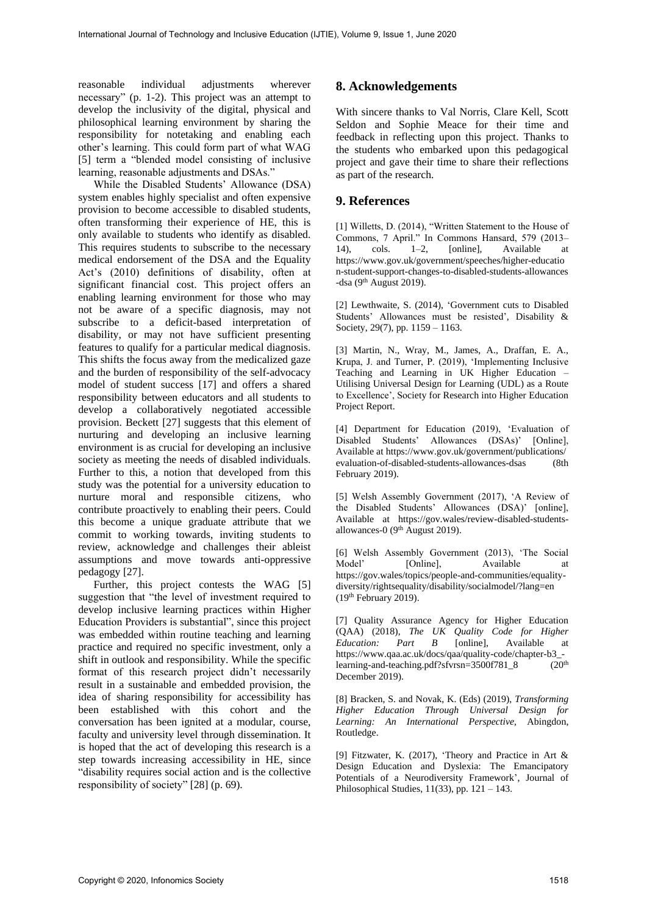reasonable individual adjustments wherever necessary" (p. 1-2). This project was an attempt to develop the inclusivity of the digital, physical and philosophical learning environment by sharing the responsibility for notetaking and enabling each other's learning. This could form part of what WAG [5] term a "blended model consisting of inclusive learning, reasonable adjustments and DSAs."

While the Disabled Students' Allowance (DSA) system enables highly specialist and often expensive provision to become accessible to disabled students, often transforming their experience of HE, this is only available to students who identify as disabled. This requires students to subscribe to the necessary medical endorsement of the DSA and the Equality Act's (2010) definitions of disability, often at significant financial cost. This project offers an enabling learning environment for those who may not be aware of a specific diagnosis, may not subscribe to a deficit-based interpretation of disability, or may not have sufficient presenting features to qualify for a particular medical diagnosis. This shifts the focus away from the medicalized gaze and the burden of responsibility of the self-advocacy model of student success [17] and offers a shared responsibility between educators and all students to develop a collaboratively negotiated accessible provision. Beckett [27] suggests that this element of nurturing and developing an inclusive learning environment is as crucial for developing an inclusive society as meeting the needs of disabled individuals. Further to this, a notion that developed from this study was the potential for a university education to nurture moral and responsible citizens, who contribute proactively to enabling their peers. Could this become a unique graduate attribute that we commit to working towards, inviting students to review, acknowledge and challenges their ableist assumptions and move towards anti-oppressive pedagogy [27].

Further, this project contests the WAG [5] suggestion that "the level of investment required to develop inclusive learning practices within Higher Education Providers is substantial", since this project was embedded within routine teaching and learning practice and required no specific investment, only a shift in outlook and responsibility. While the specific format of this research project didn't necessarily result in a sustainable and embedded provision, the idea of sharing responsibility for accessibility has been established with this cohort and the conversation has been ignited at a modular, course, faculty and university level through dissemination. It is hoped that the act of developing this research is a step towards increasing accessibility in HE, since "disability requires social action and is the collective responsibility of society" [28] (p. 69).

## **8. Acknowledgements**

With sincere thanks to Val Norris, Clare Kell, Scott Seldon and Sophie Meace for their time and feedback in reflecting upon this project. Thanks to the students who embarked upon this pedagogical project and gave their time to share their reflections as part of the research.

### **9. References**

[1] Willetts, D. (2014), "Written Statement to the House of Commons, 7 April." In Commons Hansard, 579 (2013– 14), cols. 1–2, [online], Available at https://www.gov.uk/government/speeches/higher-educatio n-student-support-changes-to-disabled-students-allowances  $-$ dsa (9<sup>th</sup> August 2019).

[2] Lewthwaite, S. (2014), 'Government cuts to Disabled Students' Allowances must be resisted'*,* Disability & Society, 29(7), pp. 1159 – 1163.

[3] Martin, N., Wray, M., James, A., Draffan, E. A., Krupa, J. and Turner, P. (2019), 'Implementing Inclusive Teaching and Learning in UK Higher Education – Utilising Universal Design for Learning (UDL) as a Route to Excellence', Society for Research into Higher Education Project Report.

[4] Department for Education (2019), 'Evaluation of Disabled Students' Allowances (DSAs)' [Online], Available at https://www.gov.uk/government/publications/ evaluation-of-disabled-students-allowances-dsas (8th February 2019).

[5] Welsh Assembly Government (2017), 'A Review of the Disabled Students' Allowances (DSA)' [online], Available at https://gov.wales/review-disabled-studentsallowances-0  $(9<sup>th</sup>$  August 2019).

[6] Welsh Assembly Government (2013), 'The Social Model' [Online], Available at https://gov.wales/topics/people-and-communities/equalitydiversity/rightsequality/disability/socialmodel/?lang=en  $(19<sup>th</sup> February 2019).$ 

[7] Quality Assurance Agency for Higher Education (QAA) (2018), *The UK Quality Code for Higher Education: Part B* [online], Available at https://www.qaa.ac.uk/docs/qaa/quality-code/chapter-b3\_ learning-and-teaching.pdf?sfvrsn=3500f781\_8 (20<sup>th</sup>) December 2019).

[8] Bracken, S. and Novak, K. (Eds) (2019), *Transforming Higher Education Through Universal Design for Learning: An International Perspective,* Abingdon, Routledge.

[9] Fitzwater, K. (2017), 'Theory and Practice in Art & Design Education and Dyslexia: The Emancipatory Potentials of a Neurodiversity Framework', Journal of Philosophical Studies, 11(33), pp. 121 – 143.